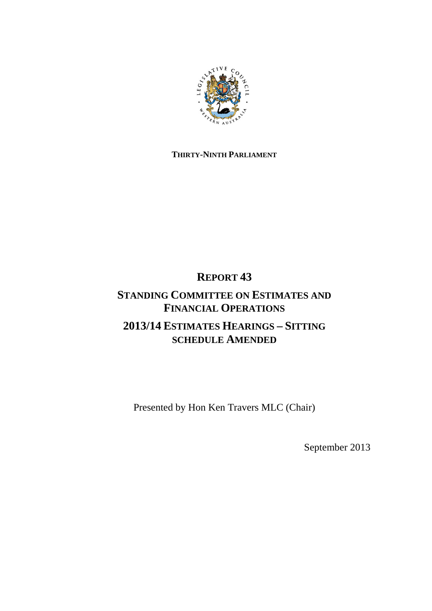

### **THIRTY-NINTH PARLIAMENT**

### **REPORT 43**

### **STANDING COMMITTEE ON ESTIMATES AND FINANCIAL OPERATIONS 2013/14 ESTIMATES HEARINGS – SITTING SCHEDULE AMENDED**

Presented by Hon Ken Travers MLC (Chair)

September 2013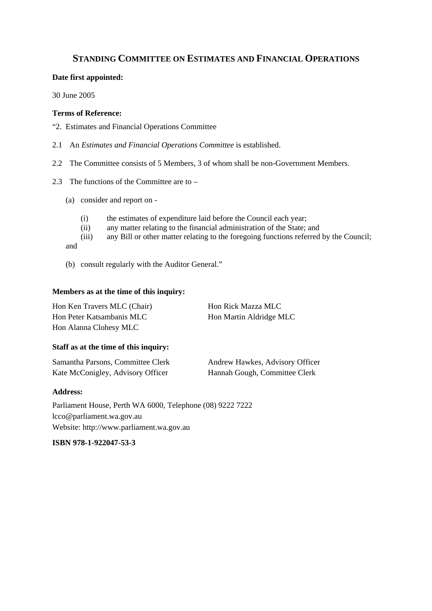### **STANDING COMMITTEE ON ESTIMATES AND FINANCIAL OPERATIONS**

#### **Date first appointed:**

30 June 2005

#### **Terms of Reference:**

- "2. Estimates and Financial Operations Committee
- 2.1 An *Estimates and Financial Operations Committee* is established.
- 2.2 The Committee consists of 5 Members, 3 of whom shall be non-Government Members.
- 2.3 The functions of the Committee are to
	- (a) consider and report on
		- (i) the estimates of expenditure laid before the Council each year;
		- (ii) any matter relating to the financial administration of the State; and (iii) any Bill or other matter relating to the foregoing functions referred
		- any Bill or other matter relating to the foregoing functions referred by the Council;

and

(b) consult regularly with the Auditor General."

#### **Members as at the time of this inquiry:**

| Hon Ken Travers MLC (Chair) | Hon Rick Mazza MLC      |
|-----------------------------|-------------------------|
| Hon Peter Katsambanis MLC   | Hon Martin Aldridge MLC |
| Hon Alanna Clohesy MLC      |                         |

#### **Staff as at the time of this inquiry:**

| Samantha Parsons, Committee Clerk | Andrew Hawkes, Advisory Officer |
|-----------------------------------|---------------------------------|
| Kate McConigley, Advisory Officer | Hannah Gough, Committee Clerk   |

#### **Address:**

Parliament House, Perth WA 6000, Telephone (08) 9222 7222 lcco@parliament.wa.gov.au Website: http://www.parliament.wa.gov.au

**ISBN 978-1-922047-53-3**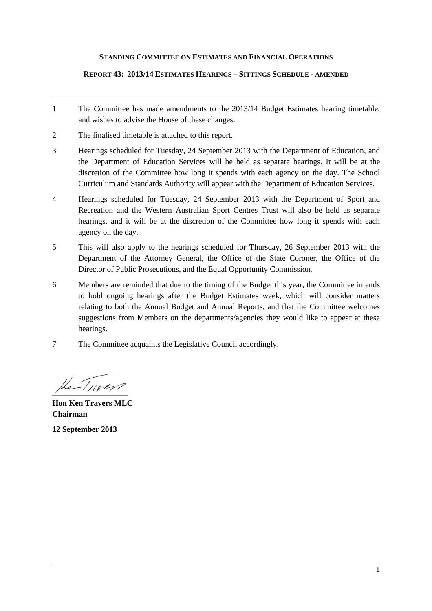#### **STANDING COMMITTEE ON ESTIMATES AND FINANCIAL OPERATIONS**

#### **REPORT 43: 2013/14 ESTIMATES HEARINGS – SITTINGS SCHEDULE - AMENDED**

- 1 The Committee has made amendments to the 2013/14 Budget Estimates hearing timetable, and wishes to advise the House of these changes.
- 2 The finalised timetable is attached to this report.
- 3 Hearings scheduled for Tuesday, 24 September 2013 with the Department of Education, and the Department of Education Services will be held as separate hearings. It will be at the discretion of the Committee how long it spends with each agency on the day. The School Curriculum and Standards Authority will appear with the Department of Education Services.
- 4 Hearings scheduled for Tuesday, 24 September 2013 with the Department of Sport and Recreation and the Western Australian Sport Centres Trust will also be held as separate hearings, and it will be at the discretion of the Committee how long it spends with each agency on the day.
- 5 This will also apply to the hearings scheduled for Thursday, 26 September 2013 with the Department of the Attorney General, the Office of the State Coroner, the Office of the Director of Public Prosecutions, and the Equal Opportunity Commission.
- 6 Members are reminded that due to the timing of the Budget this year, the Committee intends to hold ongoing hearings after the Budget Estimates week, which will consider matters relating to both the Annual Budget and Annual Reports, and that the Committee welcomes suggestions from Members on the departments/agencies they would like to appear at these hearings.
- 7 The Committee acquaints the Legislative Council accordingly.

 $He-Tuver$ 

**Hon Ken Travers MLC Chairman** 

**12 September 2013**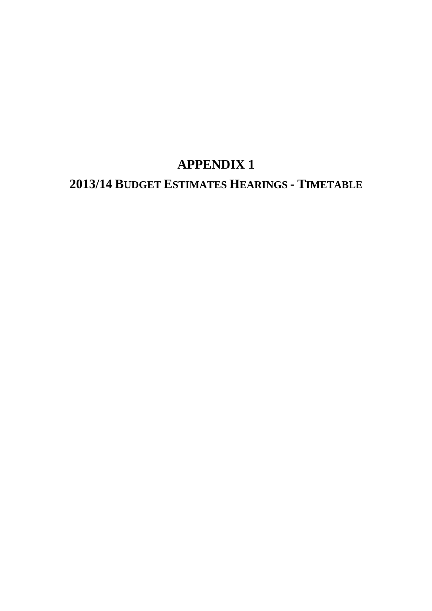# **APPENDIX 1**

# **2013/14 BUDGET ESTIMATES HEARINGS - TIMETABLE**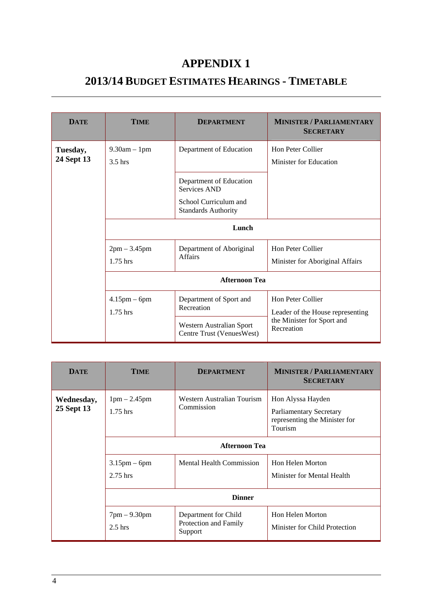## **APPENDIX 1**

## **2013/14 BUDGET ESTIMATES HEARINGS - TIMETABLE**

| <b>DATE</b>            | <b>TIME</b>                     | <b>DEPARTMENT</b>                                                                                                                | <b>MINISTER / PARLIAMENTARY</b><br><b>SECRETARY</b>   |
|------------------------|---------------------------------|----------------------------------------------------------------------------------------------------------------------------------|-------------------------------------------------------|
| Tuesday,<br>24 Sept 13 | $9.30am - 1pm$<br>$3.5$ hrs     | Department of Education<br>Department of Education<br><b>Services AND</b><br>School Curriculum and<br><b>Standards Authority</b> | Hon Peter Collier<br>Minister for Education           |
|                        | Lunch                           |                                                                                                                                  |                                                       |
|                        | $2pm - 3.45pm$<br>$1.75$ hrs    | Department of Aboriginal<br><b>Affairs</b>                                                                                       | Hon Peter Collier<br>Minister for Aboriginal Affairs  |
|                        | <b>Afternoon Tea</b>            |                                                                                                                                  |                                                       |
|                        | $4.15$ pm $-$ 6pm<br>$1.75$ hrs | Department of Sport and<br>Recreation                                                                                            | Hon Peter Collier<br>Leader of the House representing |
|                        |                                 | Western Australian Sport<br>Centre Trust (VenuesWest)                                                                            | the Minister for Sport and<br>Recreation              |

| <b>DATE</b>              | <b>TIME</b>                   | <b>DEPARTMENT</b>                                        | <b>MINISTER / PARLIAMENTARY</b><br><b>SECRETARY</b>                                             |
|--------------------------|-------------------------------|----------------------------------------------------------|-------------------------------------------------------------------------------------------------|
| Wednesday,<br>25 Sept 13 | $1pm - 2.45pm$<br>$1.75$ hrs  | Western Australian Tourism<br>Commission                 | Hon Alyssa Hayden<br><b>Parliamentary Secretary</b><br>representing the Minister for<br>Tourism |
|                          | <b>Afternoon Tea</b>          |                                                          |                                                                                                 |
|                          | $3.15$ pm – 6pm<br>$2.75$ hrs | <b>Mental Health Commission</b>                          | Hon Helen Morton<br>Minister for Mental Health                                                  |
|                          | <b>Dinner</b>                 |                                                          |                                                                                                 |
|                          | $7pm - 9.30pm$<br>$2.5$ hrs   | Department for Child<br>Protection and Family<br>Support | Hon Helen Morton<br>Minister for Child Protection                                               |